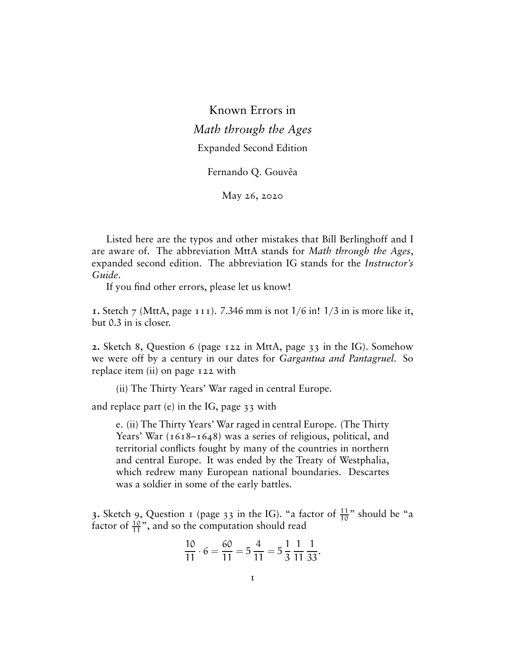Known Errors in *Math through the Ages* Expanded Second Edition

Fernando Q. Gouvêa

May 26, 2020

Listed here are the typos and other mistakes that Bill Berlinghoff and I are aware of. The abbreviation MttA stands for *Math through the Ages*, expanded second edition. The abbreviation IG stands for the *Instructor's Guide*.

If you find other errors, please let us know!

**1.** Stetch 7 (MttA, page 111). 7.346 mm is not 1/6 in! 1/3 in is more like it, but 0.3 in is closer.

**2.** Sketch 8, Question 6 (page 122 in MttA, page 33 in the IG). Somehow we were off by a century in our dates for *Gargantua and Pantagruel*. So replace item (ii) on page 122 with

(ii) The Thirty Years' War raged in central Europe.

and replace part (e) in the IG, page 33 with

e. (ii) The Thirty Years' War raged in central Europe. (The Thirty Years' War (1618–1648) was a series of religious, political, and territorial conflicts fought by many of the countries in northern and central Europe. It was ended by the Treaty of Westphalia, which redrew many European national boundaries. Descartes was a soldier in some of the early battles.

**3.** Sketch 9, Question 1 (page 33 in the IG). "a factor of  $\frac{11}{10}$ " should be "a factor of  $\frac{10}{11}$ ", and so the computation should read

$$
\frac{10}{11} \cdot 6 = \frac{60}{11} = 5\frac{4}{11} = 5\frac{1}{3}\frac{1}{11}\frac{1}{33}.
$$